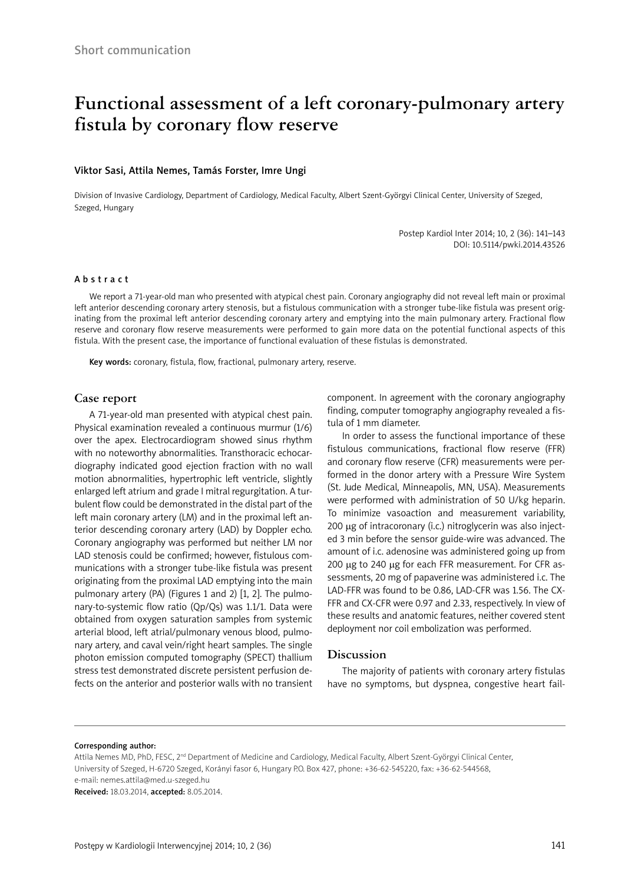# **Functional assessment of a left coronary-pulmonary artery fistula by coronary flow reserve**

#### Viktor Sasi, Attila Nemes, Tamás Forster, Imre Ungi

Division of Invasive Cardiology, Department of Cardiology, Medical Faculty, Albert Szent-Györgyi Clinical Center, University of Szeged, Szeged, Hungary

> Postep Kardiol Inter 2014; 10, 2 (36): 141–143 DOI: 10.5114/pwki.2014.43526

#### Abstract

We report a 71-year-old man who presented with atypical chest pain. Coronary angiography did not reveal left main or proximal left anterior descending coronary artery stenosis, but a fistulous communication with a stronger tube-like fistula was present originating from the proximal left anterior descending coronary artery and emptying into the main pulmonary artery. Fractional flow reserve and coronary flow reserve measurements were performed to gain more data on the potential functional aspects of this fistula. With the present case, the importance of functional evaluation of these fistulas is demonstrated.

Key words: coronary, fistula, flow, fractional, pulmonary artery, reserve.

## **Case report**

A 71-year-old man presented with atypical chest pain. Physical examination revealed a continuous murmur (1/6) over the apex. Electrocardiogram showed sinus rhythm with no noteworthy abnormalities. Transthoracic echocardiography indicated good ejection fraction with no wall motion abnormalities, hypertrophic left ventricle, slightly enlarged left atrium and grade I mitral regurgitation. A turbulent flow could be demonstrated in the distal part of the left main coronary artery (LM) and in the proximal left anterior descending coronary artery (LAD) by Doppler echo. Coronary angiography was performed but neither LM nor LAD stenosis could be confirmed; however, fistulous communications with a stronger tube-like fistula was present originating from the proximal LAD emptying into the main pulmonary artery (PA) (Figures 1 and 2) [1, 2]. The pulmonary-to-systemic flow ratio (Qp/Qs) was 1.1/1. Data were obtained from oxygen saturation samples from systemic arterial blood, left atrial/pulmonary venous blood, pulmonary artery, and caval vein/right heart samples. The single photon emission computed tomography (SPECT) thallium stress test demonstrated discrete persistent perfusion defects on the anterior and posterior walls with no transient component. In agreement with the coronary angiography finding, computer tomography angiography revealed a fistula of 1 mm diameter.

In order to assess the functional importance of these fistulous communications, fractional flow reserve (FFR) and coronary flow reserve (CFR) measurements were performed in the donor artery with a Pressure Wire System (St. Jude Medical, Minneapolis, MN, USA). Measurements were performed with administration of 50 U/kg heparin. To minimize vasoaction and measurement variability, 200 µg of intracoronary (i.c.) nitroglycerin was also injected 3 min before the sensor guide-wire was advanced. The amount of i.c. adenosine was administered going up from 200 µg to 240 µg for each FFR measurement. For CFR assessments, 20 mg of papaverine was administered i.c. The LAD-FFR was found to be 0.86, LAD-CFR was 1.56. The CX-FFR and CX-CFR were 0.97 and 2.33, respectively. In view of these results and anatomic features, neither covered stent deployment nor coil embolization was performed.

## **Discussion**

The majority of patients with coronary artery fistulas have no symptoms, but dyspnea, congestive heart fail-

#### Corresponding author:

Attila Nemes MD, PhD, FESC, 2nd Department of Medicine and Cardiology, Medical Faculty, Albert Szent-Györgyi Clinical Center, University of Szeged, H-6720 Szeged, Korányi fasor 6, Hungary P.O. Box 427, phone: +36-62-545220, fax: +36-62-544568, e-mail: nemes.attila@med.u-szeged.hu

Received: 18.03.2014, accepted: 8.05.2014.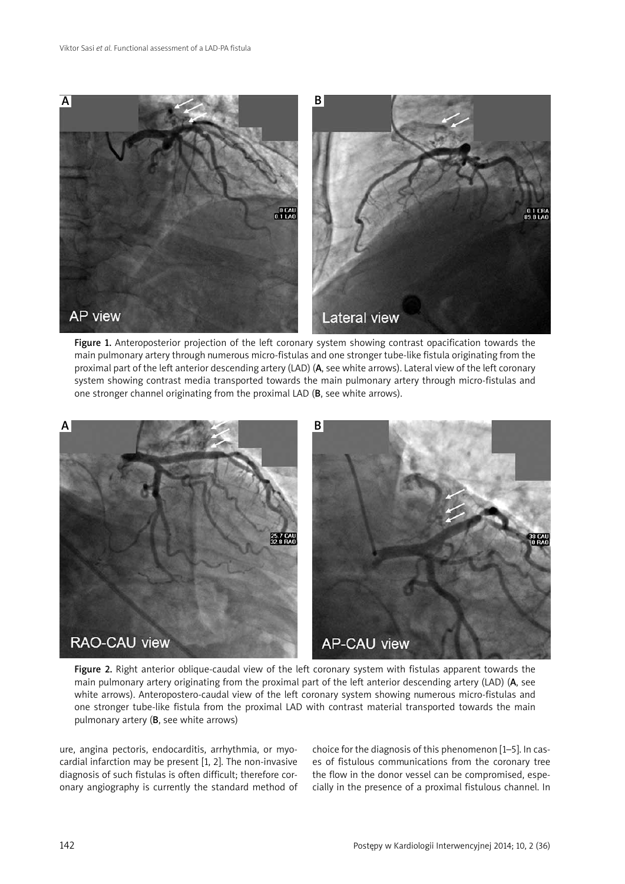

Figure 1. Anteroposterior projection of the left coronary system showing contrast opacification towards the main pulmonary artery through numerous micro-fistulas and one stronger tube-like fistula originating from the proximal part of the left anterior descending artery (LAD) (A, see white arrows). Lateral view of the left coronary system showing contrast media transported towards the main pulmonary artery through micro-fistulas and one stronger channel originating from the proximal LAD (B, see white arrows).



Figure 2. Right anterior oblique-caudal view of the left coronary system with fistulas apparent towards the main pulmonary artery originating from the proximal part of the left anterior descending artery (LAD) (A, see white arrows). Anteropostero-caudal view of the left coronary system showing numerous micro-fistulas and one stronger tube-like fistula from the proximal LAD with contrast material transported towards the main pulmonary artery (B, see white arrows)

ure, angina pectoris, endocarditis, arrhythmia, or myocardial infarction may be present [1, 2]. The non-invasive diagnosis of such fistulas is often difficult; therefore coronary angiography is currently the standard method of choice for the diagnosis of this phenomenon [1–5]. In cases of fistulous communications from the coronary tree the flow in the donor vessel can be compromised, especially in the presence of a proximal fistulous channel. In